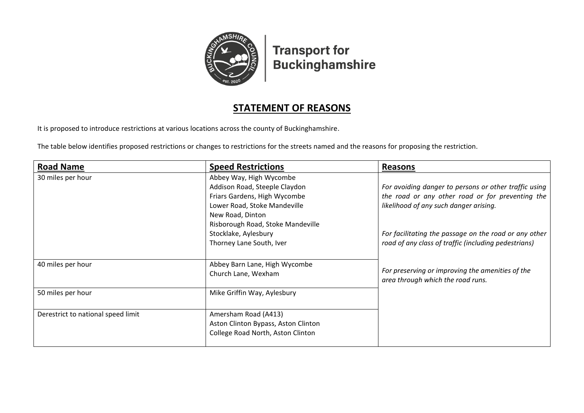

**Transport for Buckinghamshire** 

## **STATEMENT OF REASONS**

It is proposed to introduce restrictions at various locations across the county of Buckinghamshire.

The table below identifies proposed restrictions or changes to restrictions for the streets named and the reasons for proposing the restriction.

| <b>Road Name</b>                   | <b>Speed Restrictions</b>           | <b>Reasons</b>                                        |
|------------------------------------|-------------------------------------|-------------------------------------------------------|
| 30 miles per hour                  | Abbey Way, High Wycombe             |                                                       |
|                                    | Addison Road, Steeple Claydon       | For avoiding danger to persons or other traffic using |
|                                    | Friars Gardens, High Wycombe        | the road or any other road or for preventing the      |
|                                    | Lower Road, Stoke Mandeville        | likelihood of any such danger arising.                |
|                                    | New Road, Dinton                    |                                                       |
|                                    | Risborough Road, Stoke Mandeville   |                                                       |
|                                    | Stocklake, Aylesbury                | For facilitating the passage on the road or any other |
|                                    | Thorney Lane South, Iver            | road of any class of traffic (including pedestrians)  |
|                                    |                                     |                                                       |
| 40 miles per hour                  | Abbey Barn Lane, High Wycombe       |                                                       |
|                                    | Church Lane, Wexham                 | For preserving or improving the amenities of the      |
|                                    |                                     | area through which the road runs.                     |
| 50 miles per hour                  | Mike Griffin Way, Aylesbury         |                                                       |
|                                    |                                     |                                                       |
| Derestrict to national speed limit | Amersham Road (A413)                |                                                       |
|                                    | Aston Clinton Bypass, Aston Clinton |                                                       |
|                                    | College Road North, Aston Clinton   |                                                       |
|                                    |                                     |                                                       |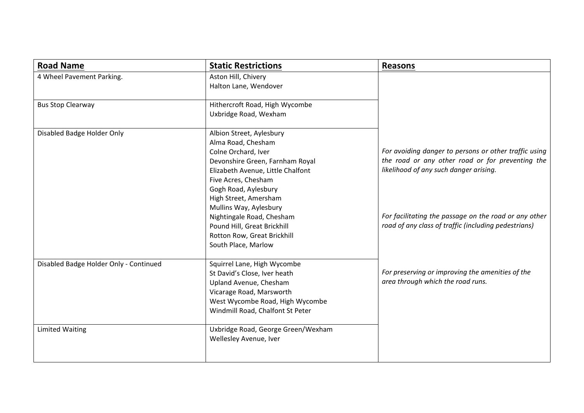| <b>Road Name</b>                       | <b>Static Restrictions</b>                                                                                                                                                               | <b>Reasons</b>                                                                                                |
|----------------------------------------|------------------------------------------------------------------------------------------------------------------------------------------------------------------------------------------|---------------------------------------------------------------------------------------------------------------|
| 4 Wheel Pavement Parking.              | Aston Hill, Chivery<br>Halton Lane, Wendover                                                                                                                                             |                                                                                                               |
| <b>Bus Stop Clearway</b>               | Hithercroft Road, High Wycombe<br>Uxbridge Road, Wexham                                                                                                                                  |                                                                                                               |
| Disabled Badge Holder Only             | Albion Street, Aylesbury<br>Alma Road, Chesham<br>Colne Orchard, Iver                                                                                                                    | For avoiding danger to persons or other traffic using                                                         |
|                                        | Devonshire Green, Farnham Royal<br>Elizabeth Avenue, Little Chalfont<br>Five Acres, Chesham<br>Gogh Road, Aylesbury<br>High Street, Amersham<br>Mullins Way, Aylesbury                   | the road or any other road or for preventing the<br>likelihood of any such danger arising.                    |
|                                        | Nightingale Road, Chesham<br>Pound Hill, Great Brickhill<br>Rotton Row, Great Brickhill<br>South Place, Marlow                                                                           | For facilitating the passage on the road or any other<br>road of any class of traffic (including pedestrians) |
| Disabled Badge Holder Only - Continued | Squirrel Lane, High Wycombe<br>St David's Close, Iver heath<br>Upland Avenue, Chesham<br>Vicarage Road, Marsworth<br>West Wycombe Road, High Wycombe<br>Windmill Road, Chalfont St Peter | For preserving or improving the amenities of the<br>area through which the road runs.                         |
| <b>Limited Waiting</b>                 | Uxbridge Road, George Green/Wexham<br>Wellesley Avenue, Iver                                                                                                                             |                                                                                                               |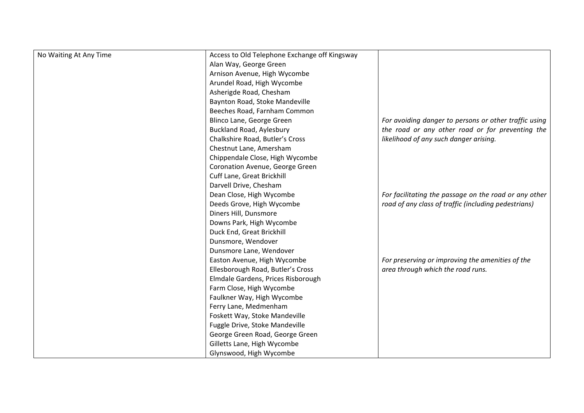| No Waiting At Any Time | Access to Old Telephone Exchange off Kingsway |                                                       |
|------------------------|-----------------------------------------------|-------------------------------------------------------|
|                        | Alan Way, George Green                        |                                                       |
|                        | Arnison Avenue, High Wycombe                  |                                                       |
|                        | Arundel Road, High Wycombe                    |                                                       |
|                        | Asherigde Road, Chesham                       |                                                       |
|                        | Baynton Road, Stoke Mandeville                |                                                       |
|                        | Beeches Road, Farnham Common                  |                                                       |
|                        | Blinco Lane, George Green                     | For avoiding danger to persons or other traffic using |
|                        | <b>Buckland Road, Aylesbury</b>               | the road or any other road or for preventing the      |
|                        | Chalkshire Road, Butler's Cross               | likelihood of any such danger arising.                |
|                        | Chestnut Lane, Amersham                       |                                                       |
|                        | Chippendale Close, High Wycombe               |                                                       |
|                        | Coronation Avenue, George Green               |                                                       |
|                        | Cuff Lane, Great Brickhill                    |                                                       |
|                        | Darvell Drive, Chesham                        |                                                       |
|                        | Dean Close, High Wycombe                      | For facilitating the passage on the road or any other |
|                        | Deeds Grove, High Wycombe                     | road of any class of traffic (including pedestrians)  |
|                        | Diners Hill, Dunsmore                         |                                                       |
|                        | Downs Park, High Wycombe                      |                                                       |
|                        | Duck End, Great Brickhill                     |                                                       |
|                        | Dunsmore, Wendover                            |                                                       |
|                        | Dunsmore Lane, Wendover                       |                                                       |
|                        | Easton Avenue, High Wycombe                   | For preserving or improving the amenities of the      |
|                        | Ellesborough Road, Butler's Cross             | area through which the road runs.                     |
|                        | Elmdale Gardens, Prices Risborough            |                                                       |
|                        | Farm Close, High Wycombe                      |                                                       |
|                        | Faulkner Way, High Wycombe                    |                                                       |
|                        | Ferry Lane, Medmenham                         |                                                       |
|                        | Foskett Way, Stoke Mandeville                 |                                                       |
|                        | Fuggle Drive, Stoke Mandeville                |                                                       |
|                        | George Green Road, George Green               |                                                       |
|                        | Gilletts Lane, High Wycombe                   |                                                       |
|                        | Glynswood, High Wycombe                       |                                                       |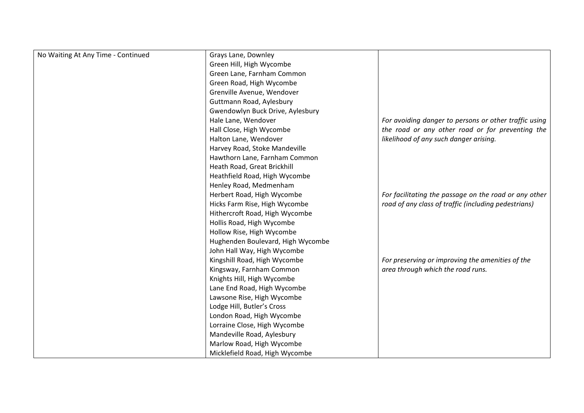| No Waiting At Any Time - Continued | Grays Lane, Downley               |                                                       |
|------------------------------------|-----------------------------------|-------------------------------------------------------|
|                                    | Green Hill, High Wycombe          |                                                       |
|                                    | Green Lane, Farnham Common        |                                                       |
|                                    | Green Road, High Wycombe          |                                                       |
|                                    | Grenville Avenue, Wendover        |                                                       |
|                                    | Guttmann Road, Aylesbury          |                                                       |
|                                    | Gwendowlyn Buck Drive, Aylesbury  |                                                       |
|                                    | Hale Lane, Wendover               | For avoiding danger to persons or other traffic using |
|                                    | Hall Close, High Wycombe          | the road or any other road or for preventing the      |
|                                    | Halton Lane, Wendover             | likelihood of any such danger arising.                |
|                                    | Harvey Road, Stoke Mandeville     |                                                       |
|                                    | Hawthorn Lane, Farnham Common     |                                                       |
|                                    | Heath Road, Great Brickhill       |                                                       |
|                                    | Heathfield Road, High Wycombe     |                                                       |
|                                    | Henley Road, Medmenham            |                                                       |
|                                    | Herbert Road, High Wycombe        | For facilitating the passage on the road or any other |
|                                    | Hicks Farm Rise, High Wycombe     | road of any class of traffic (including pedestrians)  |
|                                    | Hithercroft Road, High Wycombe    |                                                       |
|                                    | Hollis Road, High Wycombe         |                                                       |
|                                    | Hollow Rise, High Wycombe         |                                                       |
|                                    | Hughenden Boulevard, High Wycombe |                                                       |
|                                    | John Hall Way, High Wycombe       |                                                       |
|                                    | Kingshill Road, High Wycombe      | For preserving or improving the amenities of the      |
|                                    | Kingsway, Farnham Common          | area through which the road runs.                     |
|                                    | Knights Hill, High Wycombe        |                                                       |
|                                    | Lane End Road, High Wycombe       |                                                       |
|                                    | Lawsone Rise, High Wycombe        |                                                       |
|                                    | Lodge Hill, Butler's Cross        |                                                       |
|                                    | London Road, High Wycombe         |                                                       |
|                                    | Lorraine Close, High Wycombe      |                                                       |
|                                    | Mandeville Road, Aylesbury        |                                                       |
|                                    | Marlow Road, High Wycombe         |                                                       |
|                                    | Micklefield Road, High Wycombe    |                                                       |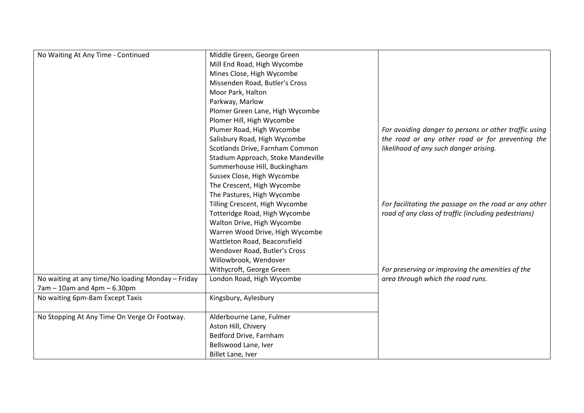| No Waiting At Any Time - Continued                | Middle Green, George Green         |                                                       |
|---------------------------------------------------|------------------------------------|-------------------------------------------------------|
|                                                   | Mill End Road, High Wycombe        |                                                       |
|                                                   | Mines Close, High Wycombe          |                                                       |
|                                                   | Missenden Road, Butler's Cross     |                                                       |
|                                                   | Moor Park, Halton                  |                                                       |
|                                                   |                                    |                                                       |
|                                                   | Parkway, Marlow                    |                                                       |
|                                                   | Plomer Green Lane, High Wycombe    |                                                       |
|                                                   | Plomer Hill, High Wycombe          |                                                       |
|                                                   | Plumer Road, High Wycombe          | For avoiding danger to persons or other traffic using |
|                                                   | Salisbury Road, High Wycombe       | the road or any other road or for preventing the      |
|                                                   | Scotlands Drive, Farnham Common    | likelihood of any such danger arising.                |
|                                                   | Stadium Approach, Stoke Mandeville |                                                       |
|                                                   | Summerhouse Hill, Buckingham       |                                                       |
|                                                   | Sussex Close, High Wycombe         |                                                       |
|                                                   | The Crescent, High Wycombe         |                                                       |
|                                                   | The Pastures, High Wycombe         |                                                       |
|                                                   | Tilling Crescent, High Wycombe     | For facilitating the passage on the road or any other |
|                                                   | Totteridge Road, High Wycombe      | road of any class of traffic (including pedestrians)  |
|                                                   | Walton Drive, High Wycombe         |                                                       |
|                                                   | Warren Wood Drive, High Wycombe    |                                                       |
|                                                   | Wattleton Road, Beaconsfield       |                                                       |
|                                                   | Wendover Road, Butler's Cross      |                                                       |
|                                                   | Willowbrook, Wendover              |                                                       |
|                                                   | Withycroft, George Green           | For preserving or improving the amenities of the      |
| No waiting at any time/No loading Monday - Friday | London Road, High Wycombe          | area through which the road runs.                     |
| $7am - 10am$ and $4pm - 6.30pm$                   |                                    |                                                       |
| No waiting 6pm-8am Except Taxis                   | Kingsbury, Aylesbury               |                                                       |
|                                                   |                                    |                                                       |
| No Stopping At Any Time On Verge Or Footway.      | Alderbourne Lane, Fulmer           |                                                       |
|                                                   | Aston Hill, Chivery                |                                                       |
|                                                   | Bedford Drive, Farnham             |                                                       |
|                                                   | Bellswood Lane, Iver               |                                                       |
|                                                   | Billet Lane, Iver                  |                                                       |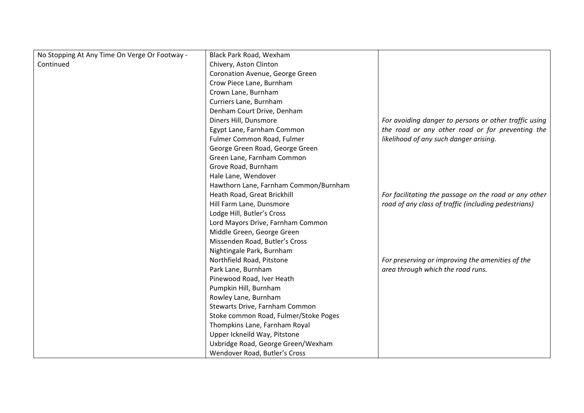| No Stopping At Any Time On Verge Or Footway - | Black Park Road, Wexham               |                                                       |
|-----------------------------------------------|---------------------------------------|-------------------------------------------------------|
| Continued                                     | Chivery, Aston Clinton                |                                                       |
|                                               | Coronation Avenue, George Green       |                                                       |
|                                               | Crow Piece Lane, Burnham              |                                                       |
|                                               | Crown Lane, Burnham                   |                                                       |
|                                               | Curriers Lane, Burnham                |                                                       |
|                                               | Denham Court Drive, Denham            |                                                       |
|                                               | Diners Hill, Dunsmore                 | For avoiding danger to persons or other traffic using |
|                                               | Egypt Lane, Farnham Common            | the road or any other road or for preventing the      |
|                                               | Fulmer Common Road, Fulmer            | likelihood of any such danger arising.                |
|                                               | George Green Road, George Green       |                                                       |
|                                               | Green Lane, Farnham Common            |                                                       |
|                                               | Grove Road, Burnham                   |                                                       |
|                                               | Hale Lane, Wendover                   |                                                       |
|                                               | Hawthorn Lane, Farnham Common/Burnham |                                                       |
|                                               | Heath Road, Great Brickhill           | For facilitating the passage on the road or any other |
|                                               | Hill Farm Lane, Dunsmore              | road of any class of traffic (including pedestrians)  |
|                                               | Lodge Hill, Butler's Cross            |                                                       |
|                                               | Lord Mayors Drive, Farnham Common     |                                                       |
|                                               | Middle Green, George Green            |                                                       |
|                                               | Missenden Road, Butler's Cross        |                                                       |
|                                               | Nightingale Park, Burnham             |                                                       |
|                                               | Northfield Road, Pitstone             | For preserving or improving the amenities of the      |
|                                               | Park Lane, Burnham                    | area through which the road runs.                     |
|                                               | Pinewood Road, Iver Heath             |                                                       |
|                                               | Pumpkin Hill, Burnham                 |                                                       |
|                                               | Rowley Lane, Burnham                  |                                                       |
|                                               | Stewarts Drive, Farnham Common        |                                                       |
|                                               | Stoke common Road, Fulmer/Stoke Poges |                                                       |
|                                               | Thompkins Lane, Farnham Royal         |                                                       |
|                                               | Upper Ickneild Way, Pitstone          |                                                       |
|                                               | Uxbridge Road, George Green/Wexham    |                                                       |
|                                               | Wendover Road, Butler's Cross         |                                                       |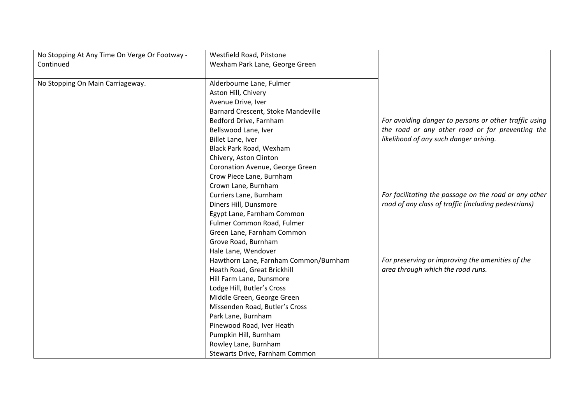| No Stopping At Any Time On Verge Or Footway - | Westfield Road, Pitstone              |                                                       |
|-----------------------------------------------|---------------------------------------|-------------------------------------------------------|
| Continued                                     | Wexham Park Lane, George Green        |                                                       |
|                                               |                                       |                                                       |
| No Stopping On Main Carriageway.              | Alderbourne Lane, Fulmer              |                                                       |
|                                               | Aston Hill, Chivery                   |                                                       |
|                                               | Avenue Drive, Iver                    |                                                       |
|                                               | Barnard Crescent, Stoke Mandeville    |                                                       |
|                                               | Bedford Drive, Farnham                | For avoiding danger to persons or other traffic using |
|                                               | Bellswood Lane, Iver                  | the road or any other road or for preventing the      |
|                                               | Billet Lane, Iver                     | likelihood of any such danger arising.                |
|                                               | Black Park Road, Wexham               |                                                       |
|                                               | Chivery, Aston Clinton                |                                                       |
|                                               | Coronation Avenue, George Green       |                                                       |
|                                               | Crow Piece Lane, Burnham              |                                                       |
|                                               | Crown Lane, Burnham                   |                                                       |
|                                               | Curriers Lane, Burnham                | For facilitating the passage on the road or any other |
|                                               | Diners Hill, Dunsmore                 | road of any class of traffic (including pedestrians)  |
|                                               | Egypt Lane, Farnham Common            |                                                       |
|                                               | Fulmer Common Road, Fulmer            |                                                       |
|                                               | Green Lane, Farnham Common            |                                                       |
|                                               | Grove Road, Burnham                   |                                                       |
|                                               | Hale Lane, Wendover                   |                                                       |
|                                               | Hawthorn Lane, Farnham Common/Burnham | For preserving or improving the amenities of the      |
|                                               | Heath Road, Great Brickhill           | area through which the road runs.                     |
|                                               | Hill Farm Lane, Dunsmore              |                                                       |
|                                               | Lodge Hill, Butler's Cross            |                                                       |
|                                               | Middle Green, George Green            |                                                       |
|                                               | Missenden Road, Butler's Cross        |                                                       |
|                                               | Park Lane, Burnham                    |                                                       |
|                                               | Pinewood Road, Iver Heath             |                                                       |
|                                               | Pumpkin Hill, Burnham                 |                                                       |
|                                               | Rowley Lane, Burnham                  |                                                       |
|                                               | Stewarts Drive, Farnham Common        |                                                       |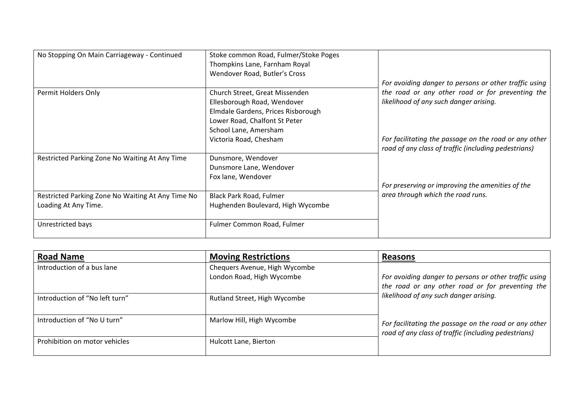| No Stopping On Main Carriageway - Continued       | Stoke common Road, Fulmer/Stoke Poges<br>Thompkins Lane, Farnham Royal |                                                                                                               |
|---------------------------------------------------|------------------------------------------------------------------------|---------------------------------------------------------------------------------------------------------------|
|                                                   | Wendover Road, Butler's Cross                                          |                                                                                                               |
|                                                   |                                                                        | For avoiding danger to persons or other traffic using                                                         |
| Permit Holders Only                               | Church Street, Great Missenden                                         | the road or any other road or for preventing the                                                              |
|                                                   | Ellesborough Road, Wendover                                            | likelihood of any such danger arising.                                                                        |
|                                                   | Elmdale Gardens, Prices Risborough                                     |                                                                                                               |
|                                                   | Lower Road, Chalfont St Peter                                          |                                                                                                               |
|                                                   | School Lane, Amersham                                                  |                                                                                                               |
|                                                   | Victoria Road, Chesham                                                 | For facilitating the passage on the road or any other<br>road of any class of traffic (including pedestrians) |
| Restricted Parking Zone No Waiting At Any Time    | Dunsmore, Wendover                                                     |                                                                                                               |
|                                                   | Dunsmore Lane, Wendover                                                |                                                                                                               |
|                                                   | Fox lane, Wendover                                                     |                                                                                                               |
|                                                   |                                                                        | For preserving or improving the amenities of the                                                              |
| Restricted Parking Zone No Waiting At Any Time No | <b>Black Park Road, Fulmer</b>                                         | area through which the road runs.                                                                             |
| Loading At Any Time.                              | Hughenden Boulevard, High Wycombe                                      |                                                                                                               |
| Unrestricted bays                                 | Fulmer Common Road, Fulmer                                             |                                                                                                               |

| <b>Road Name</b>               | <b>Moving Restrictions</b>                                 | Reasons                                                                                                       |
|--------------------------------|------------------------------------------------------------|---------------------------------------------------------------------------------------------------------------|
| Introduction of a bus lane     | Chequers Avenue, High Wycombe<br>London Road, High Wycombe | For avoiding danger to persons or other traffic using<br>the road or any other road or for preventing the     |
| Introduction of "No left turn" | Rutland Street, High Wycombe                               | likelihood of any such danger arising.                                                                        |
| Introduction of "No U turn"    | Marlow Hill, High Wycombe                                  | For facilitating the passage on the road or any other<br>road of any class of traffic (including pedestrians) |
| Prohibition on motor vehicles  | Hulcott Lane, Bierton                                      |                                                                                                               |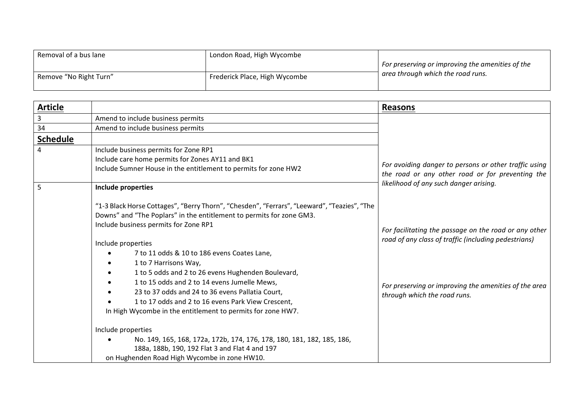| Removal of a bus lane  | London Road, High Wycombe     |                                                  |
|------------------------|-------------------------------|--------------------------------------------------|
|                        |                               | For preserving or improving the amenities of the |
| Remove "No Right Turn" | Frederick Place, High Wycombe | area through which the road runs.                |
|                        |                               |                                                  |

| <b>Article</b>  |                                                                                                                                                                                                                                                                                                                                                                                                                  | <b>Reasons</b>                                                                                                                                                         |
|-----------------|------------------------------------------------------------------------------------------------------------------------------------------------------------------------------------------------------------------------------------------------------------------------------------------------------------------------------------------------------------------------------------------------------------------|------------------------------------------------------------------------------------------------------------------------------------------------------------------------|
| 3               | Amend to include business permits                                                                                                                                                                                                                                                                                                                                                                                |                                                                                                                                                                        |
| 34              | Amend to include business permits                                                                                                                                                                                                                                                                                                                                                                                |                                                                                                                                                                        |
| <b>Schedule</b> |                                                                                                                                                                                                                                                                                                                                                                                                                  |                                                                                                                                                                        |
| 4               | Include business permits for Zone RP1                                                                                                                                                                                                                                                                                                                                                                            |                                                                                                                                                                        |
|                 | Include care home permits for Zones AY11 and BK1                                                                                                                                                                                                                                                                                                                                                                 |                                                                                                                                                                        |
|                 | Include Sumner House in the entitlement to permits for zone HW2                                                                                                                                                                                                                                                                                                                                                  | For avoiding danger to persons or other traffic using<br>the road or any other road or for preventing the                                                              |
| 5               | Include properties                                                                                                                                                                                                                                                                                                                                                                                               | likelihood of any such danger arising.                                                                                                                                 |
|                 | "1-3 Black Horse Cottages", "Berry Thorn", "Chesden", "Ferrars", "Leeward", "Teazies", "The<br>Downs" and "The Poplars" in the entitlement to permits for zone GM3.<br>Include business permits for Zone RP1<br>Include properties<br>7 to 11 odds & 10 to 186 evens Coates Lane,<br>1 to 7 Harrisons Way,<br>1 to 5 odds and 2 to 26 evens Hughenden Boulevard,<br>1 to 15 odds and 2 to 14 evens Jumelle Mews, | For facilitating the passage on the road or any other<br>road of any class of traffic (including pedestrians)<br>For preserving or improving the amenities of the area |
|                 | 23 to 37 odds and 24 to 36 evens Pallatia Court,<br>1 to 17 odds and 2 to 16 evens Park View Crescent,<br>In High Wycombe in the entitlement to permits for zone HW7.                                                                                                                                                                                                                                            | through which the road runs.                                                                                                                                           |
|                 | Include properties                                                                                                                                                                                                                                                                                                                                                                                               |                                                                                                                                                                        |
|                 | No. 149, 165, 168, 172a, 172b, 174, 176, 178, 180, 181, 182, 185, 186,<br>188a, 188b, 190, 192 Flat 3 and Flat 4 and 197<br>on Hughenden Road High Wycombe in zone HW10.                                                                                                                                                                                                                                         |                                                                                                                                                                        |